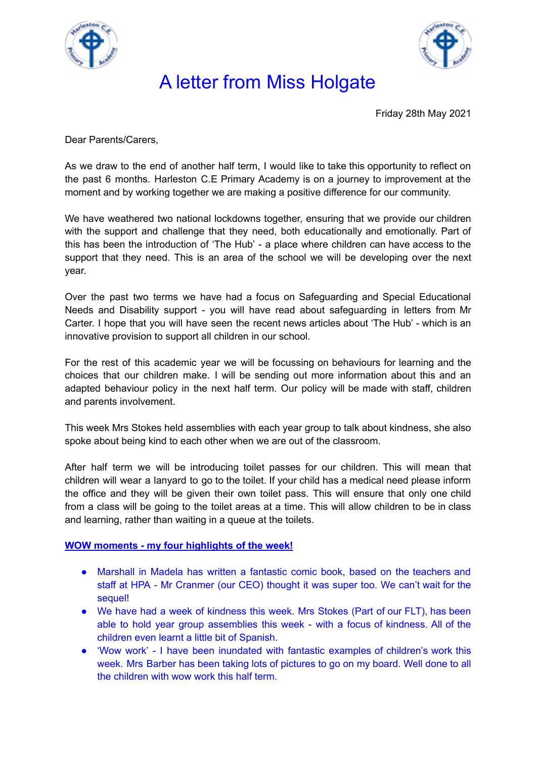



## A letter from Miss Holgate

Friday 28th May 2021

Dear Parents/Carers,

As we draw to the end of another half term, I would like to take this opportunity to reflect on the past 6 months. Harleston C.E Primary Academy is on a journey to improvement at the moment and by working together we are making a positive difference for our community.

We have weathered two national lockdowns together, ensuring that we provide our children with the support and challenge that they need, both educationally and emotionally. Part of this has been the introduction of 'The Hub' - a place where children can have access to the support that they need. This is an area of the school we will be developing over the next year.

Over the past two terms we have had a focus on Safeguarding and Special Educational Needs and Disability support - you will have read about safeguarding in letters from Mr Carter. I hope that you will have seen the recent news articles about 'The Hub' - which is an innovative provision to support all children in our school.

For the rest of this academic year we will be focussing on behaviours for learning and the choices that our children make. I will be sending out more information about this and an adapted behaviour policy in the next half term. Our policy will be made with staff, children and parents involvement.

This week Mrs Stokes held assemblies with each year group to talk about kindness, she also spoke about being kind to each other when we are out of the classroom.

After half term we will be introducing toilet passes for our children. This will mean that children will wear a lanyard to go to the toilet. If your child has a medical need please inform the office and they will be given their own toilet pass. This will ensure that only one child from a class will be going to the toilet areas at a time. This will allow children to be in class and learning, rather than waiting in a queue at the toilets.

#### **WOW moments - my four highlights of the week!**

- Marshall in Madela has written a fantastic comic book, based on the teachers and staff at HPA - Mr Cranmer (our CEO) thought it was super too. We can't wait for the sequel!
- We have had a week of kindness this week. Mrs Stokes (Part of our FLT), has been able to hold year group assemblies this week - with a focus of kindness. All of the children even learnt a little bit of Spanish.
- 'Wow work' I have been inundated with fantastic examples of children's work this week. Mrs Barber has been taking lots of pictures to go on my board. Well done to all the children with wow work this half term.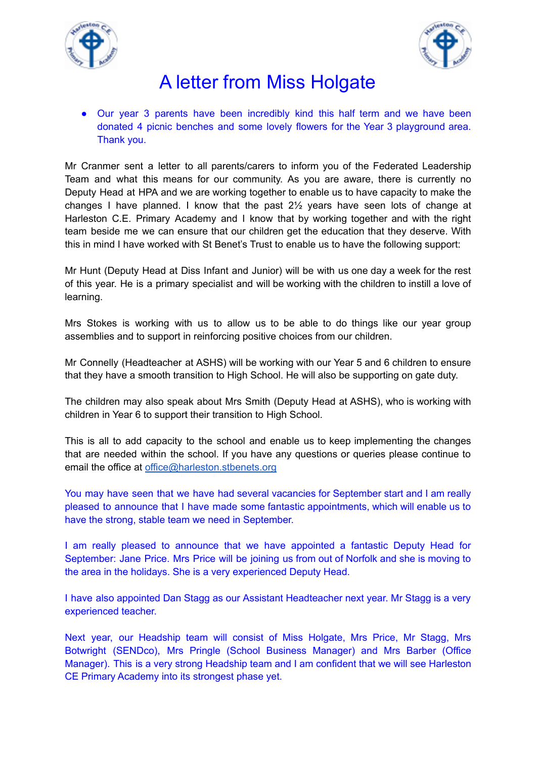



## A letter from Miss Holgate

● Our year 3 parents have been incredibly kind this half term and we have been donated 4 picnic benches and some lovely flowers for the Year 3 playground area. Thank you.

Mr Cranmer sent a letter to all parents/carers to inform you of the Federated Leadership Team and what this means for our community. As you are aware, there is currently no Deputy Head at HPA and we are working together to enable us to have capacity to make the changes I have planned. I know that the past 2½ years have seen lots of change at Harleston C.E. Primary Academy and I know that by working together and with the right team beside me we can ensure that our children get the education that they deserve. With this in mind I have worked with St Benet's Trust to enable us to have the following support:

Mr Hunt (Deputy Head at Diss Infant and Junior) will be with us one day a week for the rest of this year. He is a primary specialist and will be working with the children to instill a love of learning.

Mrs Stokes is working with us to allow us to be able to do things like our year group assemblies and to support in reinforcing positive choices from our children.

Mr Connelly (Headteacher at ASHS) will be working with our Year 5 and 6 children to ensure that they have a smooth transition to High School. He will also be supporting on gate duty.

The children may also speak about Mrs Smith (Deputy Head at ASHS), who is working with children in Year 6 to support their transition to High School.

This is all to add capacity to the school and enable us to keep implementing the changes that are needed within the school. If you have any questions or queries please continue to email the office at [office@harleston.stbenets.org](mailto:office@harleston.stbenets.org)

You may have seen that we have had several vacancies for September start and I am really pleased to announce that I have made some fantastic appointments, which will enable us to have the strong, stable team we need in September.

I am really pleased to announce that we have appointed a fantastic Deputy Head for September: Jane Price. Mrs Price will be joining us from out of Norfolk and she is moving to the area in the holidays. She is a very experienced Deputy Head.

I have also appointed Dan Stagg as our Assistant Headteacher next year. Mr Stagg is a very experienced teacher.

Next year, our Headship team will consist of Miss Holgate, Mrs Price, Mr Stagg, Mrs Botwright (SENDco), Mrs Pringle (School Business Manager) and Mrs Barber (Office Manager). This is a very strong Headship team and I am confident that we will see Harleston CE Primary Academy into its strongest phase yet.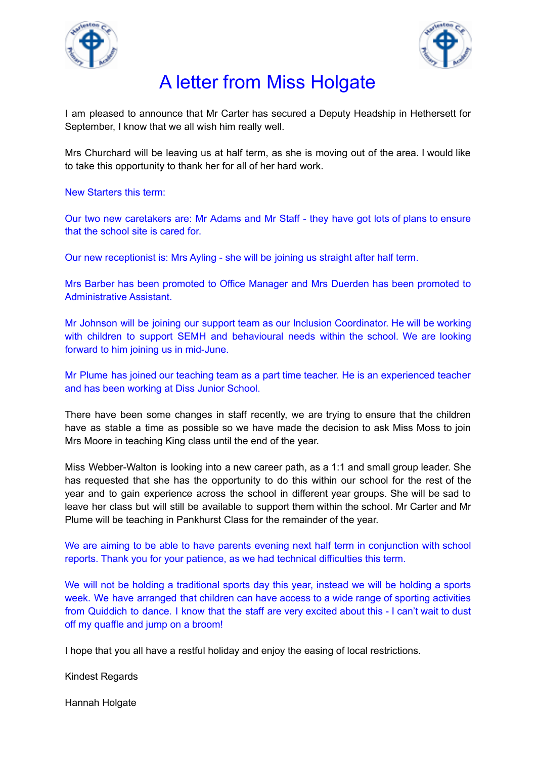



## A letter from Miss Holgate

I am pleased to announce that Mr Carter has secured a Deputy Headship in Hethersett for September, I know that we all wish him really well.

Mrs Churchard will be leaving us at half term, as she is moving out of the area. I would like to take this opportunity to thank her for all of her hard work.

New Starters this term:

Our two new caretakers are: Mr Adams and Mr Staff - they have got lots of plans to ensure that the school site is cared for.

Our new receptionist is: Mrs Ayling - she will be joining us straight after half term.

Mrs Barber has been promoted to Office Manager and Mrs Duerden has been promoted to Administrative Assistant.

Mr Johnson will be joining our support team as our Inclusion Coordinator. He will be working with children to support SEMH and behavioural needs within the school. We are looking forward to him joining us in mid-June.

Mr Plume has joined our teaching team as a part time teacher. He is an experienced teacher and has been working at Diss Junior School.

There have been some changes in staff recently, we are trying to ensure that the children have as stable a time as possible so we have made the decision to ask Miss Moss to join Mrs Moore in teaching King class until the end of the year.

Miss Webber-Walton is looking into a new career path, as a 1:1 and small group leader. She has requested that she has the opportunity to do this within our school for the rest of the year and to gain experience across the school in different year groups. She will be sad to leave her class but will still be available to support them within the school. Mr Carter and Mr Plume will be teaching in Pankhurst Class for the remainder of the year.

We are aiming to be able to have parents evening next half term in conjunction with school reports. Thank you for your patience, as we had technical difficulties this term.

We will not be holding a traditional sports day this year, instead we will be holding a sports week. We have arranged that children can have access to a wide range of sporting activities from Quiddich to dance. I know that the staff are very excited about this - I can't wait to dust off my quaffle and jump on a broom!

I hope that you all have a restful holiday and enjoy the easing of local restrictions.

Kindest Regards

Hannah Holgate